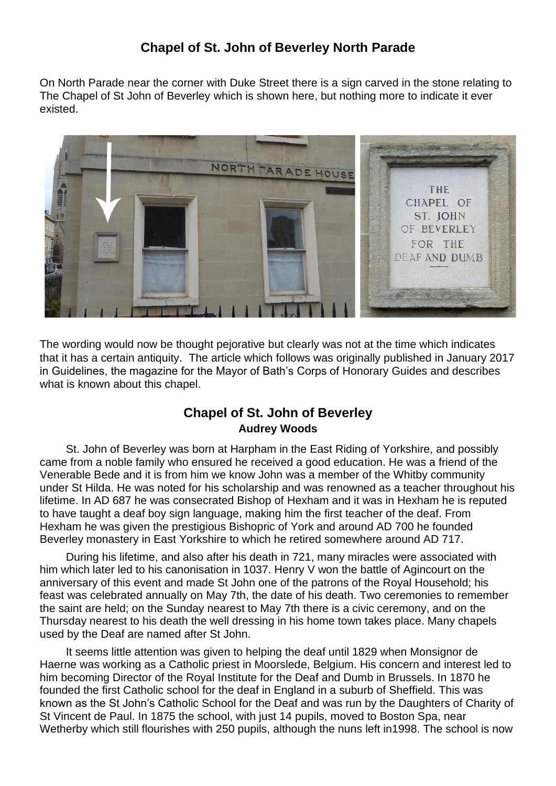# **Chapel of St. John of Beverley North Parade**

On North Parade near the corner with Duke Street there is a sign carved in the stone relating to The Chapel of St John of Beverley which is shown here, but nothing more to indicate it ever existed.



The wording would now be thought pejorative but clearly was not at the time which indicates that it has a certain antiquity. The article which follows was originally published in January 2017 in Guidelines, the magazine for the Mayor of Bath's Corps of Honorary Guides and describes what is known about this chapel.

## **Chapel of St. John of Beverley Audrey Woods**

St. John of Beverley was born at Harpham in the East Riding of Yorkshire, and possibly came from a noble family who ensured he received a good education. He was a friend of the Venerable Bede and it is from him we know John was a member of the Whitby community under St Hilda. He was noted for his scholarship and was renowned as a teacher throughout his lifetime. In AD 687 he was consecrated Bishop of Hexham and it was in Hexham he is reputed to have taught a deaf boy sign language, making him the first teacher of the deaf. From Hexham he was given the prestigious Bishopric of York and around AD 700 he founded Beverley monastery in East Yorkshire to which he retired somewhere around AD 717.

During his lifetime, and also after his death in 721, many miracles were associated with him which later led to his canonisation in 1037. Henry V won the battle of Agincourt on the anniversary of this event and made St John one of the patrons of the Royal Household; his feast was celebrated annually on May 7th, the date of his death. Two ceremonies to remember the saint are held; on the Sunday nearest to May 7th there is a civic ceremony, and on the Thursday nearest to his death the well dressing in his home town takes place. Many chapels used by the Deaf are named after St John.

It seems little attention was given to helping the deaf until 1829 when Monsignor de Haerne was working as a Catholic priest in Moorslede, Belgium. His concern and interest led to him becoming Director of the Royal Institute for the Deaf and Dumb in Brussels. In 1870 he founded the first Catholic school for the deaf in England in a suburb of Sheffield. This was known as the St John's Catholic School for the Deaf and was run by the Daughters of Charity of St Vincent de Paul. In 1875 the school, with just 14 pupils, moved to Boston Spa, near Wetherby which still flourishes with 250 pupils, although the nuns left in1998. The school is now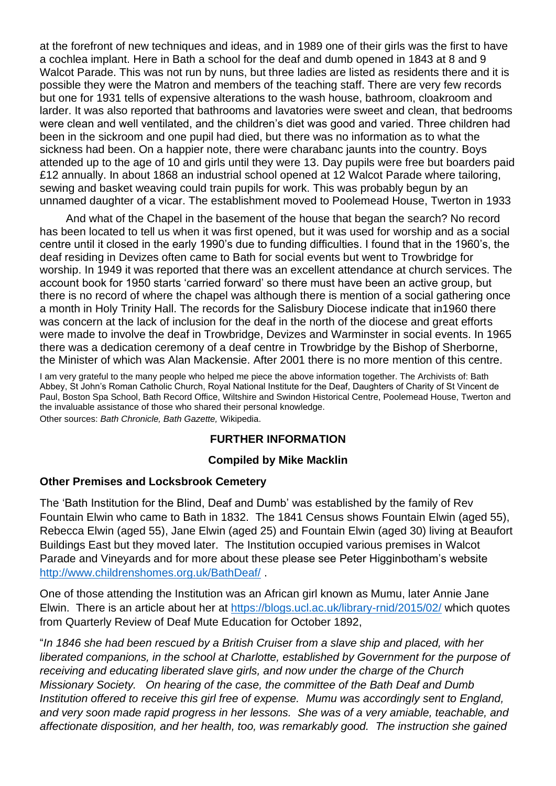at the forefront of new techniques and ideas, and in 1989 one of their girls was the first to have a cochlea implant. Here in Bath a school for the deaf and dumb opened in 1843 at 8 and 9 Walcot Parade. This was not run by nuns, but three ladies are listed as residents there and it is possible they were the Matron and members of the teaching staff. There are very few records but one for 1931 tells of expensive alterations to the wash house, bathroom, cloakroom and larder. It was also reported that bathrooms and lavatories were sweet and clean, that bedrooms were clean and well ventilated, and the children's diet was good and varied. Three children had been in the sickroom and one pupil had died, but there was no information as to what the sickness had been. On a happier note, there were charabanc jaunts into the country. Boys attended up to the age of 10 and girls until they were 13. Day pupils were free but boarders paid £12 annually. In about 1868 an industrial school opened at 12 Walcot Parade where tailoring, sewing and basket weaving could train pupils for work. This was probably begun by an unnamed daughter of a vicar. The establishment moved to Poolemead House, Twerton in 1933

And what of the Chapel in the basement of the house that began the search? No record has been located to tell us when it was first opened, but it was used for worship and as a social centre until it closed in the early 1990's due to funding difficulties. I found that in the 1960's, the deaf residing in Devizes often came to Bath for social events but went to Trowbridge for worship. In 1949 it was reported that there was an excellent attendance at church services. The account book for 1950 starts 'carried forward' so there must have been an active group, but there is no record of where the chapel was although there is mention of a social gathering once a month in Holy Trinity Hall. The records for the Salisbury Diocese indicate that in1960 there was concern at the lack of inclusion for the deaf in the north of the diocese and great efforts were made to involve the deaf in Trowbridge, Devizes and Warminster in social events. In 1965 there was a dedication ceremony of a deaf centre in Trowbridge by the Bishop of Sherborne, the Minister of which was Alan Mackensie. After 2001 there is no more mention of this centre.

I am very grateful to the many people who helped me piece the above information together. The Archivists of: Bath Abbey, St John's Roman Catholic Church, Royal National Institute for the Deaf, Daughters of Charity of St Vincent de Paul, Boston Spa School, Bath Record Office, Wiltshire and Swindon Historical Centre, Poolemead House, Twerton and the invaluable assistance of those who shared their personal knowledge. Other sources: *Bath Chronicle, Bath Gazette,* Wikipedia.

### **FURTHER INFORMATION**

#### **Compiled by Mike Macklin**

#### **Other Premises and Locksbrook Cemetery**

The 'Bath Institution for the Blind, Deaf and Dumb' was established by the family of Rev Fountain Elwin who came to Bath in 1832. The 1841 Census shows Fountain Elwin (aged 55), Rebecca Elwin (aged 55), Jane Elwin (aged 25) and Fountain Elwin (aged 30) living at Beaufort Buildings East but they moved later. The Institution occupied various premises in Walcot Parade and Vineyards and for more about these please see Peter Higginbotham's website <http://www.childrenshomes.org.uk/BathDeaf/>.

One of those attending the Institution was an African girl known as Mumu, later Annie Jane Elwin. There is an article about her at<https://blogs.ucl.ac.uk/library-rnid/2015/02/> which quotes from Quarterly Review of Deaf Mute Education for October 1892,

"*In 1846 she had been rescued by a British Cruiser from a slave ship and placed, with her liberated companions, in the school at Charlotte, established by Government for the purpose of receiving and educating liberated slave girls, and now under the charge of the Church Missionary Society. On hearing of the case, the committee of the Bath Deaf and Dumb Institution offered to receive this girl free of expense. Mumu was accordingly sent to England, and very soon made rapid progress in her lessons. She was of a very amiable, teachable, and affectionate disposition, and her health, too, was remarkably good. The instruction she gained*